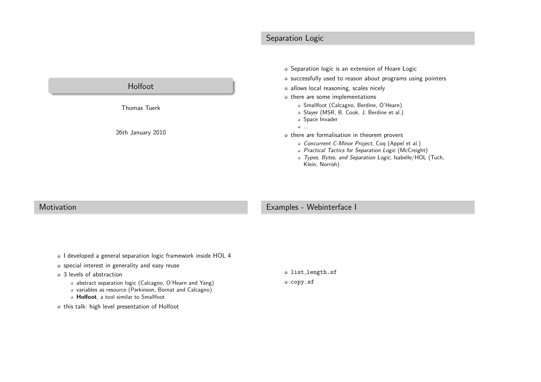# Separation Logic



### Motivation

## Examples - Webinterface <sup>I</sup>

o I developed a general separation logic framework inside HOL 4

### o special interest in generality and easy reuse

### • 3 levels of abstraction

abstract separation logic (Calcagno, O'Hearn and Yang)

- variables as resource (Parkinson, Bornat and Calcagno)
- Holfoot, a tool similar to Smallfoot
- $\bullet$  this talk: high level presentation of Holfoot

list length.sf

 $o$  copy.sf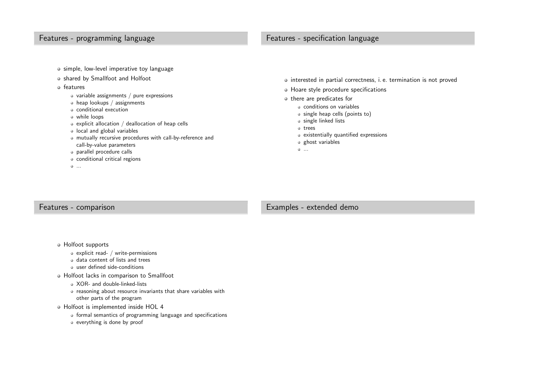# Features - programming language

- simple, low-level imperative toy language
- shared by Smallfoot and Holfoot
- o features
	- $\bullet$  variable assignments / pure expressions
	- heap lookups / assignments
	- conditional execution
	- while loops
	- explicit allocation  $\hspace{0.1mm}/\hspace{0.1mm}$  deallocation of heap cells
	- local and <sup>g</sup>lobal variables
- mutually recursive procedures with call-by-reference andcall-by-value parametersFeatures - specification language<br>
Level imperative toy language<br>
Level imperative toy language<br>
Somethers of the second term in a correctness, i.e. termination is not proved<br>
sea lookups / assignments<br>
sea lookups / assig
	- parallel procedure calls
	- conditional critical regions
	- ...

- 
- -
	-
	-
	-
	-
	-
	-

## Features - comparison

## Examples - extended demo

- Holfoot supports
	- explicit read- / write-permissions
	- data content of lists and trees
	- user defined side-conditions
- Holfoot lacks in comparison to Smallfoot
	- XOR- and double-linked-lists
	- reasoning about resource invariants that share variables withother parts of the program

### Holfoot is implemented inside HOL <sup>4</sup>

- formal semantics of programming language and specifications
- everything is done by proof